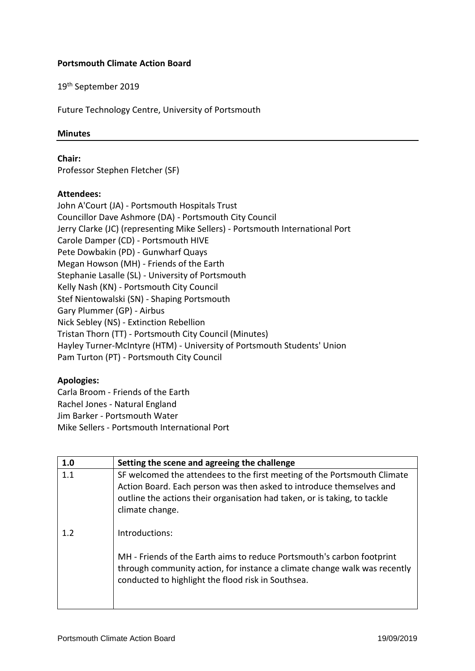## **Portsmouth Climate Action Board**

19th September 2019

Future Technology Centre, University of Portsmouth

## **Minutes**

**Chair:**

Professor Stephen Fletcher (SF)

## **Attendees:**

John A'Court (JA) - Portsmouth Hospitals Trust Councillor Dave Ashmore (DA) - Portsmouth City Council Jerry Clarke (JC) (representing Mike Sellers) - Portsmouth International Port Carole Damper (CD) - Portsmouth HIVE Pete Dowbakin (PD) - Gunwharf Quays Megan Howson (MH) - Friends of the Earth Stephanie Lasalle (SL) - University of Portsmouth Kelly Nash (KN) - Portsmouth City Council Stef Nientowalski (SN) - Shaping Portsmouth Gary Plummer (GP) - Airbus Nick Sebley (NS) - Extinction Rebellion Tristan Thorn (TT) - Portsmouth City Council (Minutes) Hayley Turner-McIntyre (HTM) - University of Portsmouth Students' Union Pam Turton (PT) - Portsmouth City Council

## **Apologies:**

Carla Broom - Friends of the Earth Rachel Jones - Natural England Jim Barker - Portsmouth Water Mike Sellers - Portsmouth International Port

| 1.0 | Setting the scene and agreeing the challenge                                                                                                                                                                                                     |
|-----|--------------------------------------------------------------------------------------------------------------------------------------------------------------------------------------------------------------------------------------------------|
| 1.1 | SF welcomed the attendees to the first meeting of the Portsmouth Climate<br>Action Board. Each person was then asked to introduce themselves and<br>outline the actions their organisation had taken, or is taking, to tackle<br>climate change. |
| 1.2 | Introductions:<br>MH - Friends of the Earth aims to reduce Portsmouth's carbon footprint                                                                                                                                                         |
|     | through community action, for instance a climate change walk was recently<br>conducted to highlight the flood risk in Southsea.                                                                                                                  |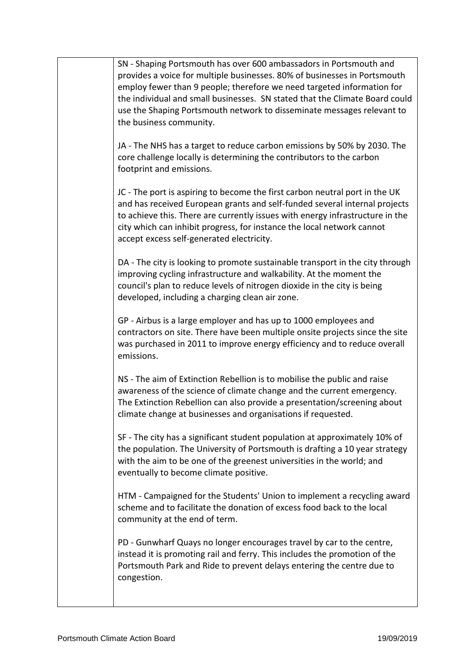| SN - Shaping Portsmouth has over 600 ambassadors in Portsmouth and<br>provides a voice for multiple businesses. 80% of businesses in Portsmouth<br>employ fewer than 9 people; therefore we need targeted information for<br>the individual and small businesses. SN stated that the Climate Board could<br>use the Shaping Portsmouth network to disseminate messages relevant to<br>the business community. |
|---------------------------------------------------------------------------------------------------------------------------------------------------------------------------------------------------------------------------------------------------------------------------------------------------------------------------------------------------------------------------------------------------------------|
| JA - The NHS has a target to reduce carbon emissions by 50% by 2030. The<br>core challenge locally is determining the contributors to the carbon<br>footprint and emissions.                                                                                                                                                                                                                                  |
| JC - The port is aspiring to become the first carbon neutral port in the UK<br>and has received European grants and self-funded several internal projects<br>to achieve this. There are currently issues with energy infrastructure in the<br>city which can inhibit progress, for instance the local network cannot<br>accept excess self-generated electricity.                                             |
| DA - The city is looking to promote sustainable transport in the city through<br>improving cycling infrastructure and walkability. At the moment the<br>council's plan to reduce levels of nitrogen dioxide in the city is being<br>developed, including a charging clean air zone.                                                                                                                           |
| GP - Airbus is a large employer and has up to 1000 employees and<br>contractors on site. There have been multiple onsite projects since the site<br>was purchased in 2011 to improve energy efficiency and to reduce overall<br>emissions.                                                                                                                                                                    |
| NS - The aim of Extinction Rebellion is to mobilise the public and raise<br>awareness of the science of climate change and the current emergency.<br>The Extinction Rebellion can also provide a presentation/screening about<br>climate change at businesses and organisations if requested.                                                                                                                 |
| SF - The city has a significant student population at approximately 10% of<br>the population. The University of Portsmouth is drafting a 10 year strategy<br>with the aim to be one of the greenest universities in the world; and<br>eventually to become climate positive.                                                                                                                                  |
| HTM - Campaigned for the Students' Union to implement a recycling award<br>scheme and to facilitate the donation of excess food back to the local<br>community at the end of term.                                                                                                                                                                                                                            |
| PD - Gunwharf Quays no longer encourages travel by car to the centre,<br>instead it is promoting rail and ferry. This includes the promotion of the<br>Portsmouth Park and Ride to prevent delays entering the centre due to<br>congestion.                                                                                                                                                                   |
|                                                                                                                                                                                                                                                                                                                                                                                                               |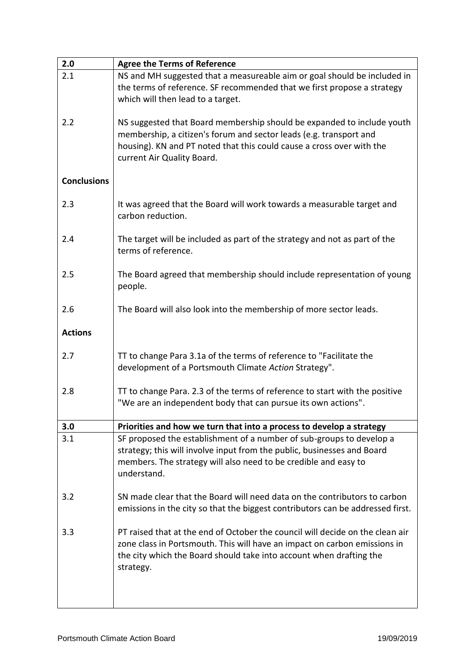| 2.0                | <b>Agree the Terms of Reference</b>                                                |
|--------------------|------------------------------------------------------------------------------------|
| 2.1                | NS and MH suggested that a measureable aim or goal should be included in           |
|                    | the terms of reference. SF recommended that we first propose a strategy            |
|                    | which will then lead to a target.                                                  |
|                    |                                                                                    |
| 2.2                | NS suggested that Board membership should be expanded to include youth             |
|                    | membership, a citizen's forum and sector leads (e.g. transport and                 |
|                    | housing). KN and PT noted that this could cause a cross over with the              |
|                    | current Air Quality Board.                                                         |
|                    |                                                                                    |
| <b>Conclusions</b> |                                                                                    |
|                    |                                                                                    |
| 2.3                | It was agreed that the Board will work towards a measurable target and             |
|                    | carbon reduction.                                                                  |
|                    |                                                                                    |
| 2.4                | The target will be included as part of the strategy and not as part of the         |
|                    | terms of reference.                                                                |
|                    |                                                                                    |
| 2.5                | The Board agreed that membership should include representation of young<br>people. |
|                    |                                                                                    |
| 2.6                | The Board will also look into the membership of more sector leads.                 |
|                    |                                                                                    |
| <b>Actions</b>     |                                                                                    |
|                    |                                                                                    |
| 2.7                | TT to change Para 3.1a of the terms of reference to "Facilitate the                |
|                    | development of a Portsmouth Climate Action Strategy".                              |
|                    |                                                                                    |
| 2.8                | TT to change Para. 2.3 of the terms of reference to start with the positive        |
|                    | "We are an independent body that can pursue its own actions".                      |
|                    |                                                                                    |
| 3.0                | Priorities and how we turn that into a process to develop a strategy               |
| 3.1                | SF proposed the establishment of a number of sub-groups to develop a               |
|                    | strategy; this will involve input from the public, businesses and Board            |
|                    | members. The strategy will also need to be credible and easy to<br>understand.     |
|                    |                                                                                    |
| 3.2                | SN made clear that the Board will need data on the contributors to carbon          |
|                    | emissions in the city so that the biggest contributors can be addressed first.     |
|                    |                                                                                    |
| 3.3                | PT raised that at the end of October the council will decide on the clean air      |
|                    | zone class in Portsmouth. This will have an impact on carbon emissions in          |
|                    | the city which the Board should take into account when drafting the                |
|                    | strategy.                                                                          |
|                    |                                                                                    |
|                    |                                                                                    |
|                    |                                                                                    |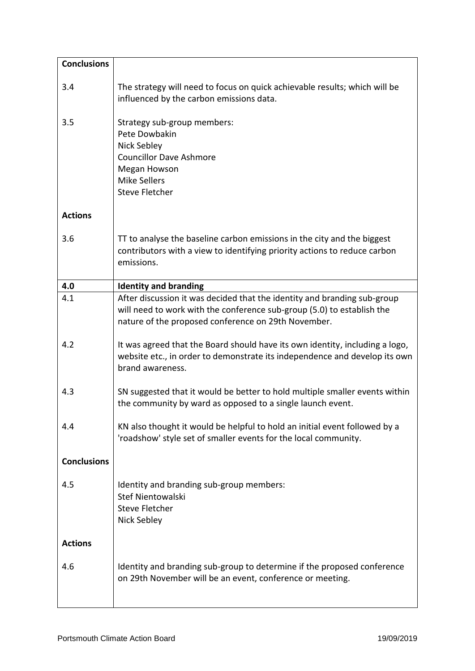| <b>Conclusions</b> |                                                                                                                                                                                                           |
|--------------------|-----------------------------------------------------------------------------------------------------------------------------------------------------------------------------------------------------------|
| 3.4                | The strategy will need to focus on quick achievable results; which will be<br>influenced by the carbon emissions data.                                                                                    |
| 3.5                | Strategy sub-group members:<br>Pete Dowbakin<br>Nick Sebley<br><b>Councillor Dave Ashmore</b><br>Megan Howson<br><b>Mike Sellers</b><br><b>Steve Fletcher</b>                                             |
| <b>Actions</b>     |                                                                                                                                                                                                           |
| 3.6                | TT to analyse the baseline carbon emissions in the city and the biggest<br>contributors with a view to identifying priority actions to reduce carbon<br>emissions.                                        |
| 4.0                | <b>Identity and branding</b>                                                                                                                                                                              |
| 4.1                | After discussion it was decided that the identity and branding sub-group<br>will need to work with the conference sub-group (5.0) to establish the<br>nature of the proposed conference on 29th November. |
| 4.2                | It was agreed that the Board should have its own identity, including a logo,<br>website etc., in order to demonstrate its independence and develop its own<br>brand awareness.                            |
| 4.3                | SN suggested that it would be better to hold multiple smaller events within<br>the community by ward as opposed to a single launch event.                                                                 |
| 4.4                | KN also thought it would be helpful to hold an initial event followed by a<br>'roadshow' style set of smaller events for the local community.                                                             |
| <b>Conclusions</b> |                                                                                                                                                                                                           |
| 4.5                | Identity and branding sub-group members:<br>Stef Nientowalski<br><b>Steve Fletcher</b><br>Nick Sebley                                                                                                     |
| <b>Actions</b>     |                                                                                                                                                                                                           |
| 4.6                | Identity and branding sub-group to determine if the proposed conference<br>on 29th November will be an event, conference or meeting.                                                                      |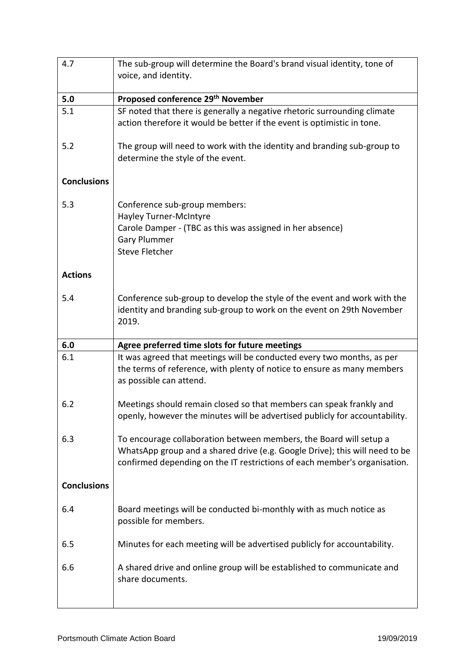| 4.7                | The sub-group will determine the Board's brand visual identity, tone of<br>voice, and identity.                                                                                                                                |
|--------------------|--------------------------------------------------------------------------------------------------------------------------------------------------------------------------------------------------------------------------------|
| 5.0                | Proposed conference 29 <sup>th</sup> November                                                                                                                                                                                  |
| 5.1                | SF noted that there is generally a negative rhetoric surrounding climate<br>action therefore it would be better if the event is optimistic in tone.                                                                            |
| 5.2                | The group will need to work with the identity and branding sub-group to<br>determine the style of the event.                                                                                                                   |
| <b>Conclusions</b> |                                                                                                                                                                                                                                |
| 5.3                | Conference sub-group members:<br><b>Hayley Turner-McIntyre</b><br>Carole Damper - (TBC as this was assigned in her absence)<br><b>Gary Plummer</b><br><b>Steve Fletcher</b>                                                    |
| <b>Actions</b>     |                                                                                                                                                                                                                                |
| 5.4                | Conference sub-group to develop the style of the event and work with the<br>identity and branding sub-group to work on the event on 29th November<br>2019.                                                                     |
| 6.0                | Agree preferred time slots for future meetings                                                                                                                                                                                 |
| 6.1                | It was agreed that meetings will be conducted every two months, as per<br>the terms of reference, with plenty of notice to ensure as many members<br>as possible can attend.                                                   |
| 6.2                | Meetings should remain closed so that members can speak frankly and<br>openly, however the minutes will be advertised publicly for accountability.                                                                             |
| 6.3                | To encourage collaboration between members, the Board will setup a<br>WhatsApp group and a shared drive (e.g. Google Drive); this will need to be<br>confirmed depending on the IT restrictions of each member's organisation. |
| <b>Conclusions</b> |                                                                                                                                                                                                                                |
| 6.4                | Board meetings will be conducted bi-monthly with as much notice as<br>possible for members.                                                                                                                                    |
| 6.5                | Minutes for each meeting will be advertised publicly for accountability.                                                                                                                                                       |
| 6.6                | A shared drive and online group will be established to communicate and<br>share documents.                                                                                                                                     |